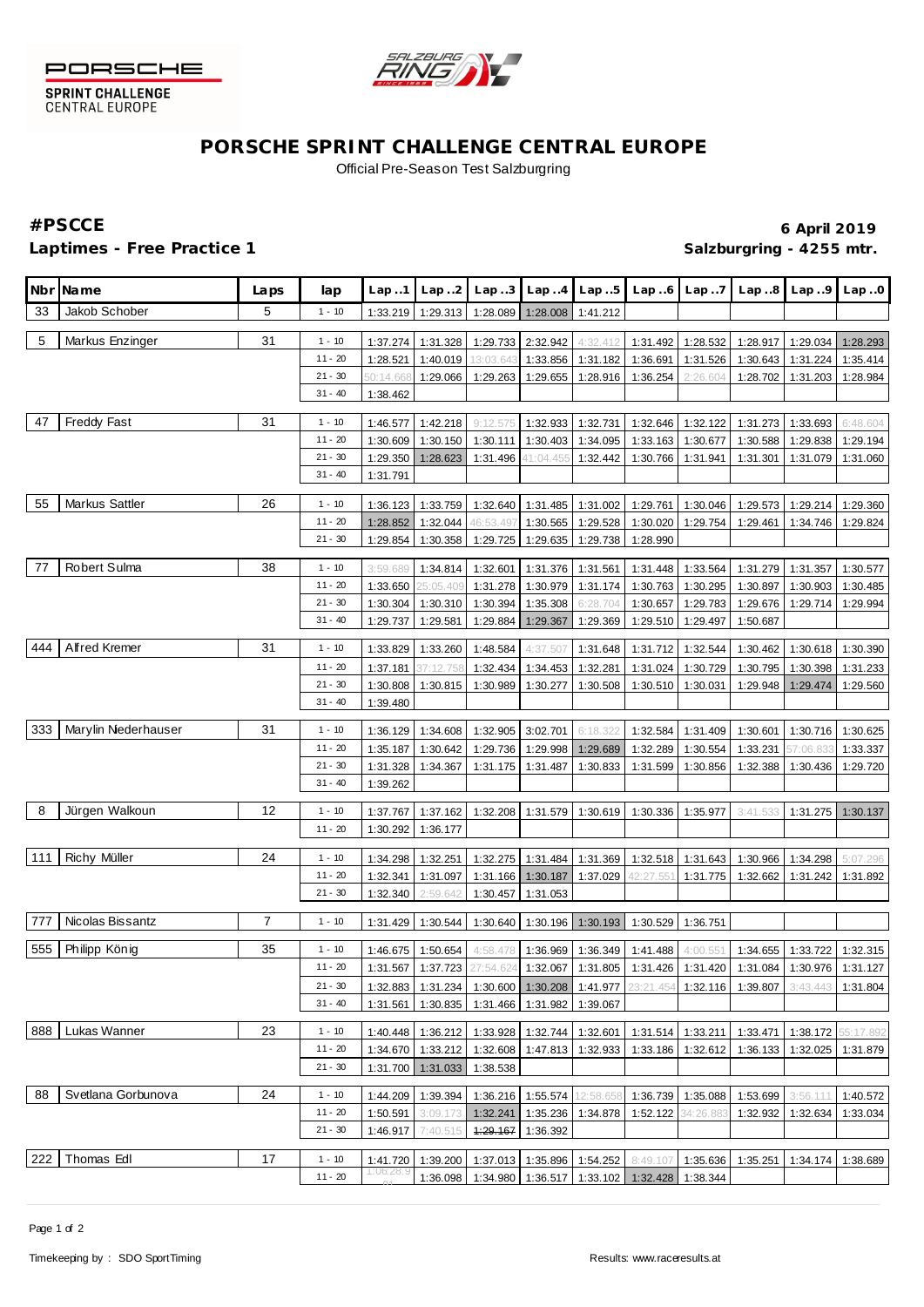



SPRINT CHALLENGE<br>CENTRAL EUROPE

## **PORSCHE SPRINT CHALLENGE CENTRAL EUROPE** Official Pre-Season Test Salzburgring

## Laptimes - Free Practice 1 **Salzburgring - 4255 mtr. Salzburgring - 4255 mtr.**

# **#PSCCE 6 April 2019**

|     | Nbr Name            | Laps           | lap       | Lap.1                     | Lap.2     | Lap.3             |                              | $Lap.4$ $Lap.5$   | Lap.6                                                                                                        | Lap.7     | Lap.8    | Lap.9                      | Lap.0                 |
|-----|---------------------|----------------|-----------|---------------------------|-----------|-------------------|------------------------------|-------------------|--------------------------------------------------------------------------------------------------------------|-----------|----------|----------------------------|-----------------------|
| 33  | Jakob Schober       | 5              | $1 - 10$  | 1:33.219                  | 1:29.313  | 1:28.089          | 1:28.008                     | 1:41.212          |                                                                                                              |           |          |                            |                       |
| 5   | Markus Enzinger     | 31             | $1 - 10$  | 1:37.274                  | 1:31.328  | 1:29.733 2:32.942 |                              | 4:32.412          | 1:31.492                                                                                                     | 1:28.532  | 1:28.917 | 1:29.034                   | 1:28.293              |
|     |                     |                | $11 - 20$ | 1:28.521                  | 1:40.019  | 13:03.643         | 1:33.856                     | 1:31.182          | 1:36.691                                                                                                     | 1:31.526  | 1:30.643 | 1:31.224                   | 1:35.414              |
|     |                     |                | $21 - 30$ | 50:14.66                  | 1:29.066  | 1:29.263          | 1:29.655                     | 1:28.916          | 1:36.254                                                                                                     | 2:26.604  | 1:28.702 | 1:31.203                   | 1:28.984              |
|     |                     |                | $31 - 40$ | 1:38.462                  |           |                   |                              |                   |                                                                                                              |           |          |                            |                       |
|     |                     |                |           |                           |           |                   |                              |                   |                                                                                                              |           |          |                            |                       |
| 47  | Freddy Fast         | 31             | $1 - 10$  | 1:46.577                  | 1:42.218  | 9:12.575          | 1:32.933                     | 1:32.731          | 1:32.646                                                                                                     | 1:32.122  | 1:31.273 | 1:33.693                   | 6:48.604              |
|     |                     |                | $11 - 20$ | 1:30.609                  | 1:30.150  | 1:30.111          | 1:30.403                     | 1:34.095          | 1:33.163                                                                                                     | 1:30.677  | 1:30.588 | 1:29.838                   | 1:29.194              |
|     |                     |                | $21 - 30$ | 1:29.350                  | 1:28.623  | 1:31.496          | 41:04.455                    | 1:32.442          | 1:30.766                                                                                                     | 1:31.941  | 1:31.301 | 1:31.079                   | 1:31.060              |
|     |                     |                | $31 - 40$ | 1:31.791                  |           |                   |                              |                   |                                                                                                              |           |          |                            |                       |
| 55  | Markus Sattler      | 26             | $1 - 10$  | 1:36.123                  | 1:33.759  | 1:32.640          | 1:31.485                     | 1:31.002          | 1:29.761                                                                                                     | 1:30.046  | 1:29.573 | 1:29.214                   | 1:29.360              |
|     |                     |                | $11 - 20$ | 1:28.852                  | 1:32.044  | 46:53.497         | 1:30.565                     | 1:29.528          | 1:30.020                                                                                                     | 1:29.754  | 1:29.461 | 1:34.746                   | 1:29.824              |
|     |                     |                | $21 - 30$ | 1:29.854                  | 1:30.358  | 1:29.725          | 1:29.635                     | 1:29.738          | 1:28.990                                                                                                     |           |          |                            |                       |
| 77  | Robert Sulma        | 38             | $1 - 10$  | 3:59.689                  | 1:34.814  | 1:32.601          | 1:31.376                     | 1:31.561          | 1:31.448                                                                                                     | 1:33.564  | 1:31.279 | 1:31.357                   | 1:30.577              |
|     |                     |                | $11 - 20$ | 1:33.650                  | 25:05.409 | 1:31.278          | 1:30.979                     | 1:31.174          | 1:30.763                                                                                                     | 1:30.295  | 1:30.897 | 1:30.903                   | 1:30.485              |
|     |                     |                | $21 - 30$ | 1:30.304                  | 1:30.310  | 1:30.394          | 1:35.308                     | 6:28.704          | 1:30.657                                                                                                     | 1:29.783  | 1:29.676 | 1:29.714                   | 1:29.994              |
|     |                     |                | $31 - 40$ | 1:29.737                  | 1:29.581  | 1:29.884          | 1:29.367                     | 1:29.369          | 1:29.510                                                                                                     | 1:29.497  | 1:50.687 |                            |                       |
|     |                     |                |           |                           |           |                   |                              |                   |                                                                                                              |           |          |                            |                       |
| 444 | Alfred Kremer       | 31             | $1 - 10$  | 1:33.829                  | 1:33.260  | 1:48.584          | 4:37.507                     | 1:31.648          | 1:31.712                                                                                                     | 1:32.544  | 1:30.462 | 1:30.618                   | 1:30.390              |
|     |                     |                | $11 - 20$ | 1:37.181                  | 37:12.758 | 1:32.434          | 1:34.453                     | 1:32.281          | 1:31.024                                                                                                     | 1:30.729  | 1:30.795 | 1:30.398                   | 1:31.233              |
|     |                     |                | $21 - 30$ | 1:30.808                  | 1:30.815  | 1:30.989          | 1:30.277                     | 1:30.508          | 1:30.510                                                                                                     | 1:30.031  | 1:29.948 | 1:29.474                   | 1:29.560              |
|     |                     |                | $31 - 40$ | 1:39.480                  |           |                   |                              |                   |                                                                                                              |           |          |                            |                       |
| 333 | Marylin Nederhauser | 31             | $1 - 10$  | 1:36.129                  | 1:34.608  | 1:32.905          | 3:02.701                     | 6:18.322          | 1:32.584                                                                                                     | 1:31.409  | 1:30.601 | 1:30.716                   | 1:30.625              |
|     |                     |                | $11 - 20$ | 1:35.187                  | 1:30.642  | 1:29.736          | 1:29.998                     | 1:29.689          | 1:32.289                                                                                                     | 1:30.554  | 1:33.231 | 57:06.83                   | 1:33.337              |
|     |                     |                | $21 - 30$ | 1:31.328                  | 1:34.367  | 1:31.175          | 1:31.487                     | 1:30.833          | 1:31.599                                                                                                     | 1:30.856  | 1:32.388 | 1:30.436                   | 1:29.720              |
|     |                     |                | $31 - 40$ | 1:39.262                  |           |                   |                              |                   |                                                                                                              |           |          |                            |                       |
| 8   | Jürgen Walkoun      | 12             | $1 - 10$  | 1:37.767                  | 1:37.162  | 1:32.208          | 1:31.579                     | 1:30.619          | 1:30.336                                                                                                     | 1:35.977  | 3:41.533 |                            | $1:31.275$   1:30.137 |
|     |                     |                | $11 - 20$ | 1:30.292                  | 1:36.177  |                   |                              |                   |                                                                                                              |           |          |                            |                       |
|     |                     |                |           |                           |           |                   |                              |                   |                                                                                                              |           |          |                            |                       |
| 111 | Richy Müller        | 24             | $1 - 10$  | 1:34.298                  | 1:32.251  | 1:32.275          | 1:31.484                     | 1:31.369          | 1:32.518                                                                                                     | 1:31.643  | 1:30.966 | 1:34.298                   | 5:07.296              |
|     |                     |                | $11 - 20$ | 1:32.341                  | 1:31.097  | 1:31.166          | 1:30.187                     | 1:37.029          | 42:27.551                                                                                                    | 1:31.775  | 1:32.662 | 1:31.242                   | 1:31.892              |
|     |                     |                | $21 - 30$ | 1:32.340                  | 2:59.642  | 1:30.457          | 1:31.053                     |                   |                                                                                                              |           |          |                            |                       |
| 777 | Nicolas Bissantz    | $\overline{7}$ | $1 - 10$  | 1:31.429                  | 1:30.544  | 1:30.640          | 1:30.196                     | 1:30.193          | 1:30.529                                                                                                     | 1:36.751  |          |                            |                       |
| 555 | Philipp König       | 35             | $1 - 10$  | 1:46.675                  | 1:50.654  | 4:58.478          |                              |                   | 1:36.969 1:36.349 1:41.488                                                                                   | 4:00.551  |          | 1:34.655 1:33.722 1:32.315 |                       |
|     |                     |                | $11 - 20$ |                           |           |                   |                              |                   | 1:31.567   1:37.723   27:54.624   1:32.067   1:31.805   1:31.426   1:31.420   1:31.084   1:30.976   1:31.127 |           |          |                            |                       |
|     |                     |                | $21 - 30$ | 1:32.883                  | 1:31.234  | 1:30.600          | 1:30.208                     | 1:41.977          | 23:21.454                                                                                                    | 1:32.116  | 1:39.807 | 3:43.443                   | 1:31.804              |
|     |                     |                | $31 - 40$ | 1:31.561                  | 1:30.835  | 1:31.466          | 1:31.982                     | 1:39.067          |                                                                                                              |           |          |                            |                       |
|     |                     |                |           |                           |           |                   |                              |                   |                                                                                                              |           |          |                            |                       |
|     | 888 Lukas Wanner    | 23             | $1 - 10$  | 1:40.448                  | 1:36.212  | 1:33.928          | 1:32.744                     | 1:32.601          | 1:31.514                                                                                                     | 1:33.211  | 1:33.471 | 1:38.172                   | 55:17.892             |
|     |                     |                | $11 - 20$ | 1:34.670                  | 1:33.212  | 1:32.608          | 1:47.813                     | 1:32.933          | 1:33.186                                                                                                     | 1:32.612  | 1:36.133 | 1:32.025                   | 1:31.879              |
|     |                     |                | $21 - 30$ | 1:31.700                  | 1:31.033  | 1:38.538          |                              |                   |                                                                                                              |           |          |                            |                       |
| 88  | Svetlana Gorbunova  | 24             | $1 - 10$  | 1:44.209                  | 1:39.394  | 1:36.216          | 1:55.574                     | 12:58.658         | 1:36.739                                                                                                     | 1:35.088  | 1:53.699 | 3:56.111                   | 1:40.572              |
|     |                     |                | $11 - 20$ | 1:50.591                  | 3:09.173  | 1:32.241          |                              | 1:35.236 1:34.878 | 1:52.122                                                                                                     | 34:26.883 | 1:32.932 | 1:32.634                   | 1:33.034              |
|     |                     |                | $21 - 30$ | 1:46.917                  | 7:40.515  | 1:29.167          | 1:36.392                     |                   |                                                                                                              |           |          |                            |                       |
|     |                     |                |           |                           |           |                   |                              |                   |                                                                                                              |           |          |                            |                       |
| 222 | Thomas Edl          | 17             | $1 - 10$  | 1:41.720<br>I : 06: 28. S | 1:39.200  |                   | 1:37.013  1:35.896  1:54.252 |                   | 8:49.107                                                                                                     | 1:35.636  | 1:35.251 | 1:34.174 1:38.689          |                       |
|     |                     |                | $11 - 20$ |                           | 1:36.098  | 1:34.980          | 1:36.517                     | 1:33.102          | 1:32.428                                                                                                     | 1:38.344  |          |                            |                       |